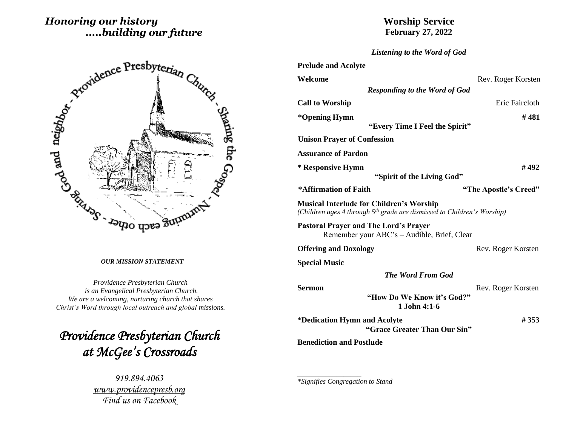# *Honoring our history .....building our future*



#### *OUR MISSION STATEMENT*

*Providence Presbyterian Church is an Evangelical Presbyterian Church. We are a welcoming, nurturing church that shares Christ's Word through local outreach and global missions.*

*Providence Presbyterian Church at McGee's Crossroads* 

> *919.894.4063 [www.providencepresb.org](http://www.providencepresb.org/) Find us on Facebook*

# **Worship Service February 27, 2022**

| Listening to the Word of God |  |  |  |  |  |  |
|------------------------------|--|--|--|--|--|--|
|------------------------------|--|--|--|--|--|--|

| <b>Prelude and Acolyte</b>                                                                                                             |                       |
|----------------------------------------------------------------------------------------------------------------------------------------|-----------------------|
| Welcome                                                                                                                                | Rev. Roger Korsten    |
| <b>Responding to the Word of God</b>                                                                                                   |                       |
| <b>Call to Worship</b>                                                                                                                 | Eric Faircloth        |
| *Opening Hymn<br>"Every Time I Feel the Spirit"                                                                                        | #481                  |
| <b>Unison Prayer of Confession</b>                                                                                                     |                       |
| <b>Assurance of Pardon</b>                                                                                                             |                       |
| * Responsive Hymn                                                                                                                      | #492                  |
| "Spirit of the Living God"                                                                                                             |                       |
| *Affirmation of Faith                                                                                                                  | "The Apostle's Creed" |
| <b>Musical Interlude for Children's Worship</b><br>(Children ages 4 through 5 <sup>th</sup> grade are dismissed to Children's Worship) |                       |
| <b>Pastoral Prayer and The Lord's Prayer</b><br>Remember your ABC's - Audible, Brief, Clear                                            |                       |
| <b>Offering and Doxology</b>                                                                                                           | Rev. Roger Korsten    |
| <b>Special Music</b>                                                                                                                   |                       |
| <b>The Word From God</b>                                                                                                               |                       |
| <b>Sermon</b>                                                                                                                          | Rev. Roger Korsten    |
| "How Do We Know it's God?"<br>$1$ . John $4:1-6$                                                                                       |                       |
| *Dedication Hymn and Acolyte<br>"Grace Greater Than Our Sin"                                                                           | # 353                 |
| <b>Benediction and Postlude</b>                                                                                                        |                       |

*\*Signifies Congregation to Stand*

*\_\_\_\_\_\_\_\_\_\_\_\_\_\_\_\_\_\_*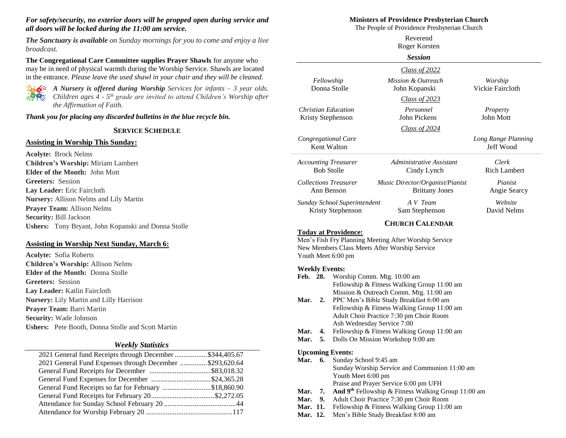### *For safety/security, no exterior doors will be propped open during service and all doors will be locked during the 11:00 am service.*

*The Sanctuary is available on Sunday mornings for you to come and enjoy a live broadcast.*

**The Congregational Care Committee supplies Prayer Shawls** for anyone who may be in need of physical warmth during the Worship Service. Shawls are located in the entrance. *Please leave the used shawl in your chair and they will be cleaned.*



*A Nursery is offered during Worship Services for infants – 3 year olds. Children ages 4 - 5 th grade are invited to attend Children's Worship after the Affirmation of Faith.*

*Thank you for placing any discarded bulletins in the blue recycle bin.*

#### **SERVICE SCHEDULE**

#### **Assisting in Worship This Sunday:**

**Acolyte:** Brock Nelms **Children's Worship:** Miriam Lambert **Elder of the Month:** John Mott **Greeters:** Session **Lay Leader:** Eric Faircloth **Nursery:** Allison Nelms and Lily Martin **Prayer Team:** Allison Nelms **Security:** Bill Jackson **Ushers:** Tony Bryant, John Kopanski and Donna Stolle

### **Assisting in Worship Next Sunday, March 6:**

**Acolyte:** Sofia Roberts **Children's Worship:** Allison Nelms **Elder of the Month:** Donna Stolle **Greeters:** Session **Lay Leader:** Katlin Faircloth **Nursery:** Lily Martin and Lilly Harrison **Prayer Team:** Barri Martin **Security:** Wade Johnson **Ushers:** Pete Booth, Donna Stolle and Scott Martin

#### *Weekly Statistics*

| 2021 General fund Receipts through December \$344,405.67 |  |
|----------------------------------------------------------|--|
| 2021 General Fund Expenses through December \$293,620.64 |  |
|                                                          |  |
|                                                          |  |
| General Fund Receipts so far for February \$18,860.90    |  |
|                                                          |  |
|                                                          |  |
|                                                          |  |
|                                                          |  |

#### **Ministers of Providence Presbyterian Church**

The People of Providence Presbyterian Church

|                                                  |                                                                                  | Reverend<br>Roger Korsten                                                                                                                                                                                                                                 |                                  |  |  |
|--------------------------------------------------|----------------------------------------------------------------------------------|-----------------------------------------------------------------------------------------------------------------------------------------------------------------------------------------------------------------------------------------------------------|----------------------------------|--|--|
|                                                  |                                                                                  | <b>Session</b>                                                                                                                                                                                                                                            |                                  |  |  |
|                                                  |                                                                                  | Class of 2022                                                                                                                                                                                                                                             |                                  |  |  |
| Fellowship                                       | Donna Stolle                                                                     | Mission & Outreach<br>John Kopanski                                                                                                                                                                                                                       | Worship<br>Vickie Faircloth      |  |  |
|                                                  |                                                                                  | Class of 2023                                                                                                                                                                                                                                             |                                  |  |  |
| <b>Christian Education</b><br>Kristy Stephenson  |                                                                                  | Personnel<br>John Pickens                                                                                                                                                                                                                                 | Property<br><b>John Mott</b>     |  |  |
|                                                  |                                                                                  | Class of 2024                                                                                                                                                                                                                                             |                                  |  |  |
| Congregational Care                              | Kent Walton                                                                      |                                                                                                                                                                                                                                                           | Long Range Planning<br>Jeff Wood |  |  |
| <b>Accounting Treasurer</b><br><b>Bob Stolle</b> |                                                                                  | Administrative Assistant<br>Cindy Lynch                                                                                                                                                                                                                   | Clerk<br><b>Rich Lambert</b>     |  |  |
| <b>Collections Treasurer</b><br>Ann Benson       |                                                                                  | Music Director/Organist/Pianist<br><b>Brittany Jones</b>                                                                                                                                                                                                  | Pianist<br>Angie Searcy          |  |  |
|                                                  | Sunday School Superintendent<br>Kristy Stephenson                                | A V Team<br>Sam Stephenson                                                                                                                                                                                                                                | Website<br>David Nelms           |  |  |
|                                                  |                                                                                  | <b>CHURCH CALENDAR</b>                                                                                                                                                                                                                                    |                                  |  |  |
| Youth Meet 6:00 pm                               | <b>Today at Providence:</b>                                                      | Men's Fish Fry Planning Meeting After Worship Service<br>New Members Class Meets After Worship Service                                                                                                                                                    |                                  |  |  |
| <b>Weekly Events:</b><br>Feb. 28.<br>Mar.<br>2.  | Ash Wednesday Service 7:00                                                       | Worship Comm. Mtg. 10:00 am<br>Fellowship & Fitness Walking Group 11:00 am<br>Mission & Outreach Comm. Mtg. 11:00 am<br>PPC Men's Bible Study Breakfast 6:00 am<br>Fellowship & Fitness Walking Group 11:00 am<br>Adult Choir Practice 7:30 pm Choir Room |                                  |  |  |
| Mar.<br>4.<br>Mar.<br>5.                         | Fellowship & Fitness Walking Group 11:00 am<br>Dolls On Mission Workshop 9:00 am |                                                                                                                                                                                                                                                           |                                  |  |  |
| <b>Upcoming Events:</b><br>Mar.<br>6.            | Sunday School 9:45 am<br>Youth Meet 6:00 pm                                      | Sunday Worship Service and Communion 11:00 am<br>Praise and Prayer Service 6:00 pm UFH                                                                                                                                                                    |                                  |  |  |

- **Mar. 7. And 9th** Fellowship & Fitness Walking Group 11:00 am
- **Mar. 9.** Adult Choir Practice 7:30 pm Choir Room
- Mar. 11. Fellowship & Fitness Walking Group 11:00 am
- **Mar. 12.** Men's Bible Study Breakfast 8:00 am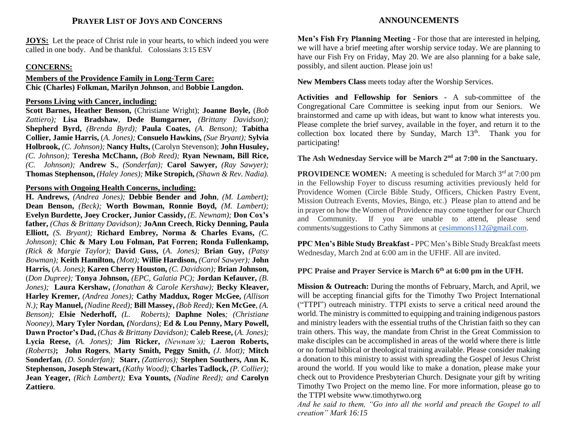### **PRAYER LIST OF JOYS AND CONCERNS**

**JOYS:** Let the peace of Christ rule in your hearts, to which indeed you were called in one body. And be thankful. Colossians 3:15 ESV

### **CONCERNS:**

**Members of the Providence Family in Long-Term Care: Chic (Charles) Folkman, Marilyn Johnson**, and **Bobbie Langdon.**

### **Persons Living with Cancer, including:**

**Scott Barnes, Heather Benson,** (Christiane Wright); **Joanne Boyle,** (*Bob Zattiero);* **Lisa Bradshaw***,* **Dede Bumgarner***, (Brittany Davidson);*  **Shepherd Byrd,** *(Brenda Byrd);* **Paula Coates,** *(A. Benson);* **Tabitha Collier, Jamie Harris,** (*A. Jones);* **Consuelo Hawkins,** *(Sue Bryant);* **Sylvia Holbrook,** *(C. Johnson);* **Nancy Hults,** (Carolyn Stevenson); **John Husuley,** *(C. Johnson);* **Teresha McChann,** *(Bob Reed);* **Ryan Newnam, Bill Rice,** *(C. Johnson);* **Andrew S.**, *(Sonderfan);* **Carol Sawyer,** *(Ray Sawyer);*  **Thomas Stephenson,** *(Haley Jones);* **Mike Stropich,** *(Shawn & Rev. Nadia).*

### **Persons with Ongoing Health Concerns, including:**

**H. Andrews,** *(Andrea Jones);* **Debbie Bender and John***, (M. Lambert);*  **Dean Benson,** *(Beck);* **Worth Bowman, Ronnie Boyd,** *(M. Lambert);* **Evelyn Burdette, Joey Crocker, Junior Cassidy,** *(E. Newnam);* **Don Cox's father,** *(Chas & Brittany Davidson);* **JoAnn Creech***,* **Ricky Denning, Paula Elliott,** *(S. Bryant);* **Richard Embrey, Norma & Charles Evans,** *(C. Johnson);* **Chic & Mary Lou Folman, Pat Forren; Ronda Fullenkamp,**  *(Rick & Margie Taylor);* **David Guss,** (*A. Jones);* **Brian Guy,** *(Patsy Bowman);* **Keith Hamilton,** *(Mott);* **Willie Hardison,** *(Carol Sawyer);* **John Harris,** (*A. Jones)*; **Karen Cherry Houston,** *(C. Davidson);* **Brian Johnson,**  (*Don Dupree);* **Tonya Johnson,** *(EPC, Galatia PC);* **Jordan Kefauver,** *(B. Jones);* **Laura Kershaw,** *(Jonathan & Carole Kershaw);* **Becky Kleaver, Harley Kremer***, (Andrea Jones);* **Cathy Maddux, Roger McGee,** *(Allison N.);* **Ray Manuel,** *(Nadine Reed);* **Bill Massey,** *(Bob Reed);* **Ken McGee***, (A. Benson);* **Elsie Nederhoff,** *(L. Roberts);* **Daphne Noles***; (Christiane Nooney),* **Mary Tyler Nordan***, (Nordans);* **Ed & Lou Penny, Mary Powell, Dawn Proctor's Dad,** *(Chas & Brittany Davidson);* **Caleb Reese,** (*A. Jones);*  **Lycia Reese,** *(A. Jones);* **Jim Ricker,** *(Newnam's);* **Laeron Roberts,**  *(Roberts)***; John Rogers***,* **Marty Smith, Peggy Smith,** *(J. Mott);* **Mitch Sonderfan***, (D. Sonderfan);* **Starr,** *(Zattieros);* **Stephen Southers, Ann K. Stephenson, Joseph Stewart,** *(Kathy Wood);* **Charles Tadlock,** *(P. Collier);*  **Jean Yeager,** *(Rich Lambert);* **Eva Younts,** *(Nadine Reed); and* **Carolyn Zattiero***.*

## **ANNOUNCEMENTS**

**Men's Fish Fry Planning Meeting** - For those that are interested in helping, we will have a brief meeting after worship service today. We are planning to have our Fish Fry on Friday, May 20. We are also planning for a bake sale, possibly, and silent auction. Please join us!

**New Members Class** meets today after the Worship Services.

**Activities and Fellowship for Seniors** - A sub-committee of the Congregational Care Committee is seeking input from our Seniors. We brainstormed and came up with ideas, but want to know what interests you. Please complete the brief survey, available in the foyer, and return it to the collection box located there by Sunday, March  $13<sup>th</sup>$ . Thank you for participating!

# **The Ash Wednesday Service will be March 2nd at 7:00 in the Sanctuary.**

**PROVIDENCE WOMEN:** A meeting is scheduled for March 3<sup>rd</sup> at 7:00 pm in the Fellowship Foyer to discuss resuming activities previously held for Providence Women (Circle Bible Study, Officers, Chicken Pastry Event, Mission Outreach Events, Movies, Bingo, etc.) Please plan to attend and be in prayer on how the Women of Providence may come together for our Church and Community. If you are unable to attend, please send comments/suggestions to Cathy Simmons at [cesimmons112@gmail.com.](mailto:cesimmons112@gmail.com)

**PPC Men's Bible Study Breakfast -** PPC Men's Bible Study Breakfast meets Wednesday, March 2nd at 6:00 am in the UFHF. All are invited.

### **PPC Praise and Prayer Service is March 6th at 6:00 pm in the UFH.**

**Mission & Outreach:** During the months of February, March, and April, we will be accepting financial gifts for the Timothy Two Project International ("TTPI") outreach ministry. TTPI exists to serve a critical need around the world. The ministry is committed to equipping and training indigenous pastors and ministry leaders with the essential truths of the Christian faith so they can train others. This way, the mandate from Christ in the Great Commission to make disciples can be accomplished in areas of the world where there is little or no formal biblical or theological training available. Please consider making a donation to this ministry to assist with spreading the Gospel of Jesus Christ around the world. If you would like to make a donation, please make your check out to Providence Presbyterian Church. Designate your gift by writing Timothy Two Project on the memo line. For more information, please go to the TTPI website www.timothytwo.org

*And he said to them, "Go into all the world and preach the Gospel to all creation" Mark 16:15*